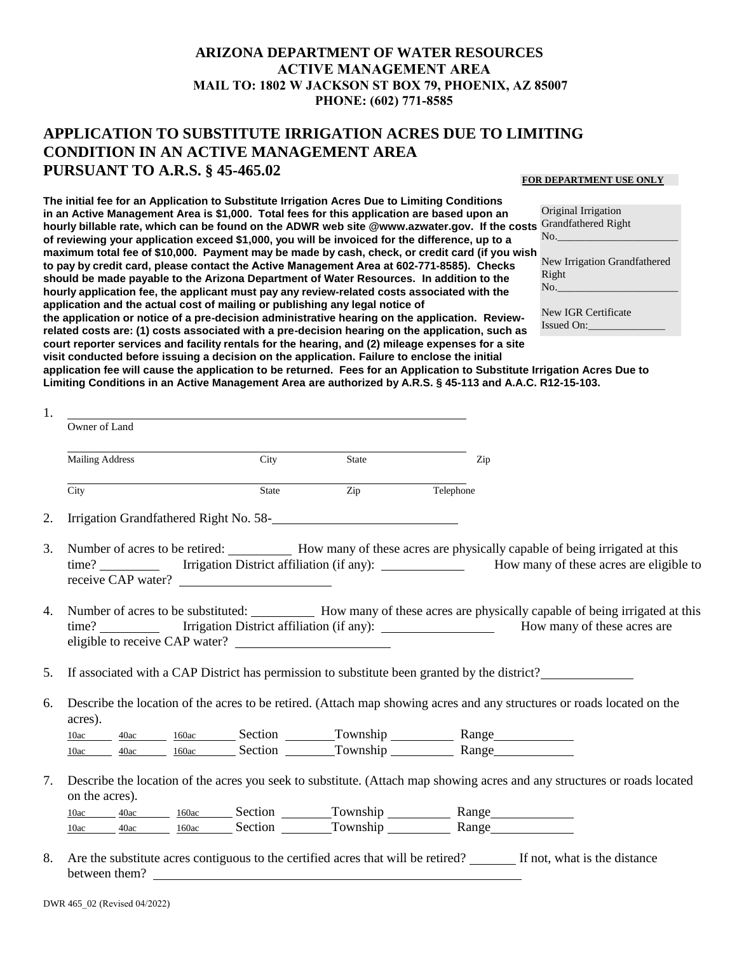## **ARIZONA DEPARTMENT OF WATER RESOURCES ACTIVE MANAGEMENT AREA MAIL TO: 1802 W JACKSON ST BOX 79, PHOENIX, AZ 85007 PHONE: (602) 771-8585**

## **APPLICATION TO SUBSTITUTE IRRIGATION ACRES DUE TO LIMITING CONDITION IN AN ACTIVE MANAGEMENT AREA PURSUANT TO A.R.S. § 45-465.02**

## **FOR DEPARTMENT USE ONLY**

**The initial fee for an Application to Substitute Irrigation Acres Due to Limiting Conditions in an Active Management Area is \$1,000. Total fees for this application are based upon an hourly billable rate, which can be found on the ADWR web site @www.azwater.gov. If the costs**  Grandfathered Right **of reviewing your application exceed \$1,000, you will be invoiced for the difference, up to a maximum total fee of \$10,000. Payment may be made by cash, check, or credit card (if you wish to pay by credit card, please contact the Active Management Area at 602-771-8585). Checks should be made payable to the Arizona Department of Water Resources. In addition to the hourly application fee, the applicant must pay any review-related costs associated with the application and the actual cost of mailing or publishing any legal notice of the application or notice of a pre-decision administrative hearing on the application. Reviewrelated costs are: (1) costs associated with a pre-decision hearing on the application, such as** 

Original Irrigation No.\_\_\_\_\_\_\_\_\_\_\_\_\_\_\_\_\_\_\_\_\_\_ New Irrigation Grandfathered Right  $No.$ New IGR Certificate

**court reporter services and facility rentals for the hearing, and (2) mileage expenses for a site**  Issued On:

**visit conducted before issuing a decision on the application. Failure to enclose the initial application fee will cause the application to be returned. Fees for an Application to Substitute Irrigation Acres Due to Limiting Conditions in an Active Management Area are authorized by A.R.S. § 45-113 and A.A.C. R12-15-103.**

| 1.                   |                                          |       |                                                    |                                                                                                                                                                                                                                    |
|----------------------|------------------------------------------|-------|----------------------------------------------------|------------------------------------------------------------------------------------------------------------------------------------------------------------------------------------------------------------------------------------|
|                      | Owner of Land                            |       |                                                    |                                                                                                                                                                                                                                    |
|                      | <b>Mailing Address</b>                   | City  | State                                              | Zip                                                                                                                                                                                                                                |
|                      | $\overline{City}$                        | State | Zip                                                | Telephone                                                                                                                                                                                                                          |
| 2.                   |                                          |       | Irrigation Grandfathered Right No. 58-<br><u> </u> |                                                                                                                                                                                                                                    |
| 3.                   | receive CAP water?                       |       |                                                    | Number of acres to be retired: How many of these acres are physically capable of being irrigated at this<br>time? _____________ Irrigation District affiliation (if any): ________________ How many of these acres are eligible to |
|                      |                                          |       |                                                    |                                                                                                                                                                                                                                    |
|                      | eligible to receive CAP water?           |       |                                                    | Number of acres to be substituted: How many of these acres are physically capable of being irrigated at this<br>time? Irrigation District affiliation (if any): How many of these acres are                                        |
|                      |                                          |       |                                                    | If associated with a CAP District has permission to substitute been granted by the district?                                                                                                                                       |
|                      |                                          |       |                                                    | Describe the location of the acres to be retired. (Attach map showing acres and any structures or roads located on the                                                                                                             |
|                      | acres).                                  |       |                                                    |                                                                                                                                                                                                                                    |
|                      | $\frac{40ac}{2}$<br>10ac<br>40ac<br>10ac |       |                                                    | 160ac Section Township Range<br>160ac Section Township Range                                                                                                                                                                       |
|                      | on the acres).                           |       |                                                    | Describe the location of the acres you seek to substitute. (Attach map showing acres and any structures or roads located                                                                                                           |
| 4.<br>5.<br>6.<br>7. | 10ac<br>40ac                             |       |                                                    | 160ac Section Township Range                                                                                                                                                                                                       |

8. Are the substitute acres contiguous to the certified acres that will be retired? If not, what is the distance between them?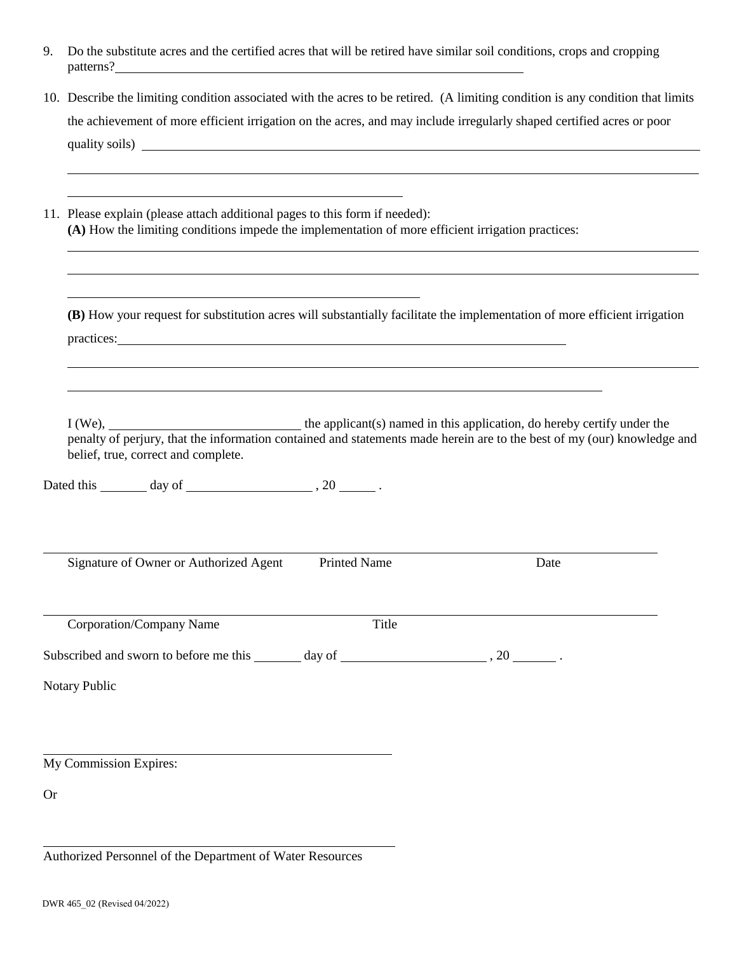| 9. Do the substitute acres and the certified acres that will be retired have similar soil conditions, crops and cropping |
|--------------------------------------------------------------------------------------------------------------------------|
| patterns?                                                                                                                |

| 10. Describe the limiting condition associated with the acres to be retired. (A limiting condition is any condition that limits |
|---------------------------------------------------------------------------------------------------------------------------------|
| the achievement of more efficient irrigation on the acres, and may include irregularly shaped certified acres or poor           |
| quality soils) _                                                                                                                |
|                                                                                                                                 |

| 11. Please explain (please attach additional pages to this form if needed):                       |
|---------------------------------------------------------------------------------------------------|
| (A) How the limiting conditions impede the implementation of more efficient irrigation practices: |

**(B)** How your request for substitution acres will substantially facilitate the implementation of more efficient irrigation practices:

 $I (We),$  the applicant(s) named in this application, do hereby certify under the penalty of perjury, that the information contained and statements made herein are to the best of my (our) knowledge and belief, true, correct and complete.

Dated this  $\frac{day \text{ of } (x,y) \text{ of } (x,y) \text{ of } (x,y) \text{ of } (x,y) \text{ of } (x,y) \text{ of } (x,y) \text{ of } (x,y)$ 

Signature of Owner or Authorized Agent Printed Name Date

Corporation/Company Name Title

Subscribed and sworn to before me this  $\frac{1}{2}$  day of  $\frac{1}{2}$ , 20  $\frac{1}{2}$ .

Notary Public

My Commission Expires:

Or

Authorized Personnel of the Department of Water Resources